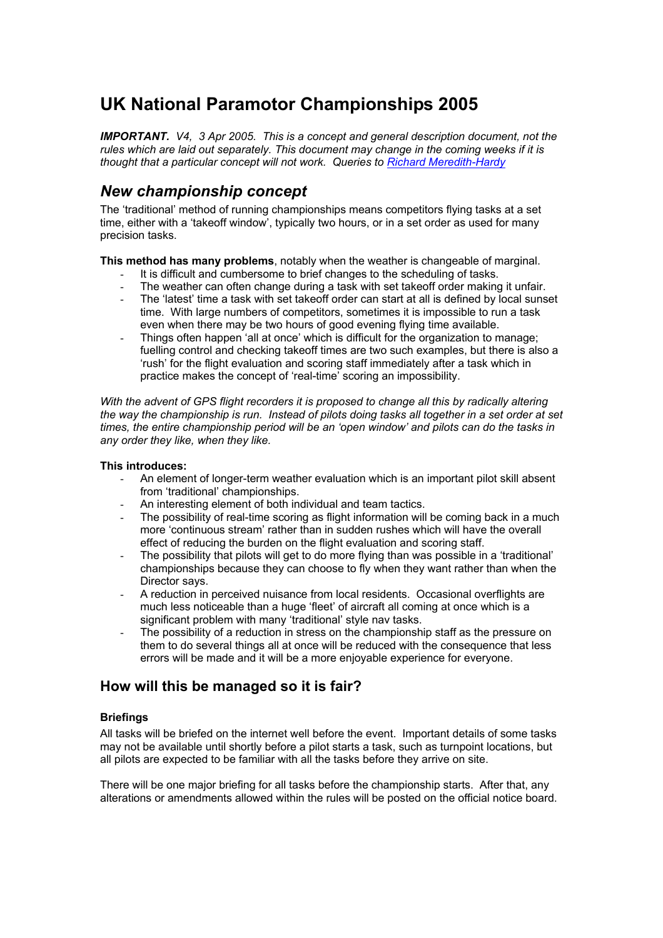# **UK National Paramotor Championships 2005**

*IMPORTANT. V4, 3 Apr 2005. This is a concept and general description document, not the rules which are laid out separately. This document may change in the coming weeks if it is thought that a particular concept will not work. Queries to [Richard Meredith-Hardy](http://www.flymicro.com/rmh.gif)*

# *New championship concept*

The 'traditional' method of running championships means competitors flying tasks at a set time, either with a 'takeoff window', typically two hours, or in a set order as used for many precision tasks.

**This method has many problems**, notably when the weather is changeable of marginal.

- It is difficult and cumbersome to brief changes to the scheduling of tasks.
- The weather can often change during a task with set takeoff order making it unfair.
- The 'latest' time a task with set takeoff order can start at all is defined by local sunset time. With large numbers of competitors, sometimes it is impossible to run a task even when there may be two hours of good evening flying time available.
- Things often happen 'all at once' which is difficult for the organization to manage; fuelling control and checking takeoff times are two such examples, but there is also a 'rush' for the flight evaluation and scoring staff immediately after a task which in practice makes the concept of 'real-time' scoring an impossibility.

*With the advent of GPS flight recorders it is proposed to change all this by radically altering the way the championship is run. Instead of pilots doing tasks all together in a set order at set times, the entire championship period will be an 'open window' and pilots can do the tasks in any order they like, when they like.* 

# **This introduces:**

- An element of longer-term weather evaluation which is an important pilot skill absent from 'traditional' championships.
- An interesting element of both individual and team tactics.
- The possibility of real-time scoring as flight information will be coming back in a much more 'continuous stream' rather than in sudden rushes which will have the overall effect of reducing the burden on the flight evaluation and scoring staff.
- The possibility that pilots will get to do more flying than was possible in a 'traditional' championships because they can choose to fly when they want rather than when the Director says.
- A reduction in perceived nuisance from local residents. Occasional overflights are much less noticeable than a huge 'fleet' of aircraft all coming at once which is a significant problem with many 'traditional' style nav tasks.
- The possibility of a reduction in stress on the championship staff as the pressure on them to do several things all at once will be reduced with the consequence that less errors will be made and it will be a more enjoyable experience for everyone.

# **How will this be managed so it is fair?**

# **Briefings**

All tasks will be briefed on the internet well before the event. Important details of some tasks may not be available until shortly before a pilot starts a task, such as turnpoint locations, but all pilots are expected to be familiar with all the tasks before they arrive on site.

There will be one major briefing for all tasks before the championship starts. After that, any alterations or amendments allowed within the rules will be posted on the official notice board.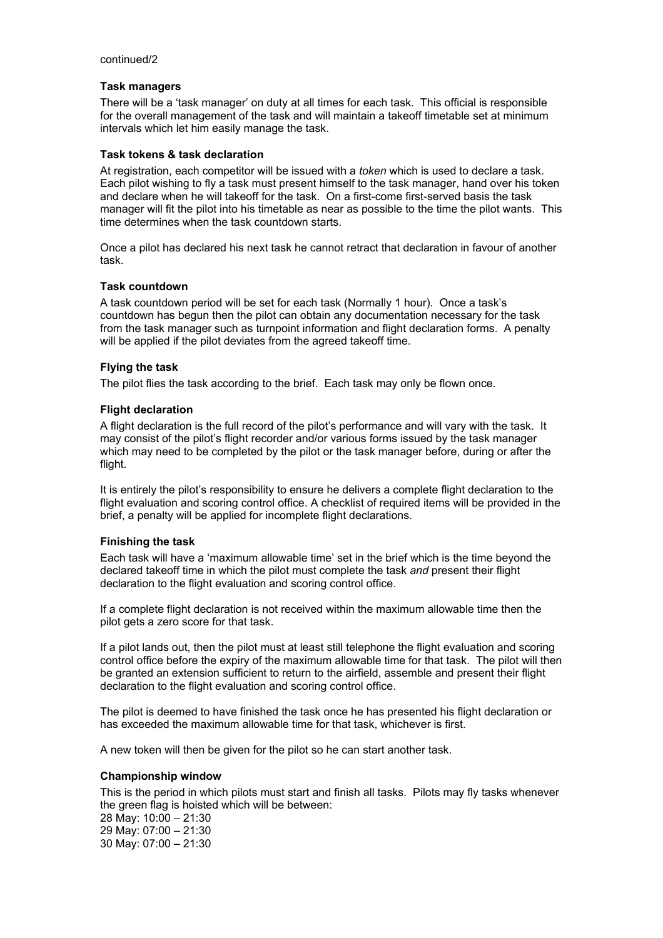#### continued/2

# **Task managers**

There will be a 'task manager' on duty at all times for each task. This official is responsible for the overall management of the task and will maintain a takeoff timetable set at minimum intervals which let him easily manage the task.

# **Task tokens & task declaration**

At registration, each competitor will be issued with a *token* which is used to declare a task. Each pilot wishing to fly a task must present himself to the task manager, hand over his token and declare when he will takeoff for the task. On a first-come first-served basis the task manager will fit the pilot into his timetable as near as possible to the time the pilot wants. This time determines when the task countdown starts.

Once a pilot has declared his next task he cannot retract that declaration in favour of another task.

# **Task countdown**

A task countdown period will be set for each task (Normally 1 hour). Once a task's countdown has begun then the pilot can obtain any documentation necessary for the task from the task manager such as turnpoint information and flight declaration forms. A penalty will be applied if the pilot deviates from the agreed takeoff time.

# **Flying the task**

The pilot flies the task according to the brief. Each task may only be flown once.

# **Flight declaration**

A flight declaration is the full record of the pilot's performance and will vary with the task. It may consist of the pilot's flight recorder and/or various forms issued by the task manager which may need to be completed by the pilot or the task manager before, during or after the flight.

It is entirely the pilot's responsibility to ensure he delivers a complete flight declaration to the flight evaluation and scoring control office. A checklist of required items will be provided in the brief, a penalty will be applied for incomplete flight declarations.

#### **Finishing the task**

Each task will have a 'maximum allowable time' set in the brief which is the time beyond the declared takeoff time in which the pilot must complete the task *and* present their flight declaration to the flight evaluation and scoring control office.

If a complete flight declaration is not received within the maximum allowable time then the pilot gets a zero score for that task.

If a pilot lands out, then the pilot must at least still telephone the flight evaluation and scoring control office before the expiry of the maximum allowable time for that task. The pilot will then be granted an extension sufficient to return to the airfield, assemble and present their flight declaration to the flight evaluation and scoring control office.

The pilot is deemed to have finished the task once he has presented his flight declaration or has exceeded the maximum allowable time for that task, whichever is first.

A new token will then be given for the pilot so he can start another task.

#### **Championship window**

This is the period in which pilots must start and finish all tasks. Pilots may fly tasks whenever the green flag is hoisted which will be between:

28 May: 10:00 – 21:30 29 May: 07:00 – 21:30 30 May: 07:00 – 21:30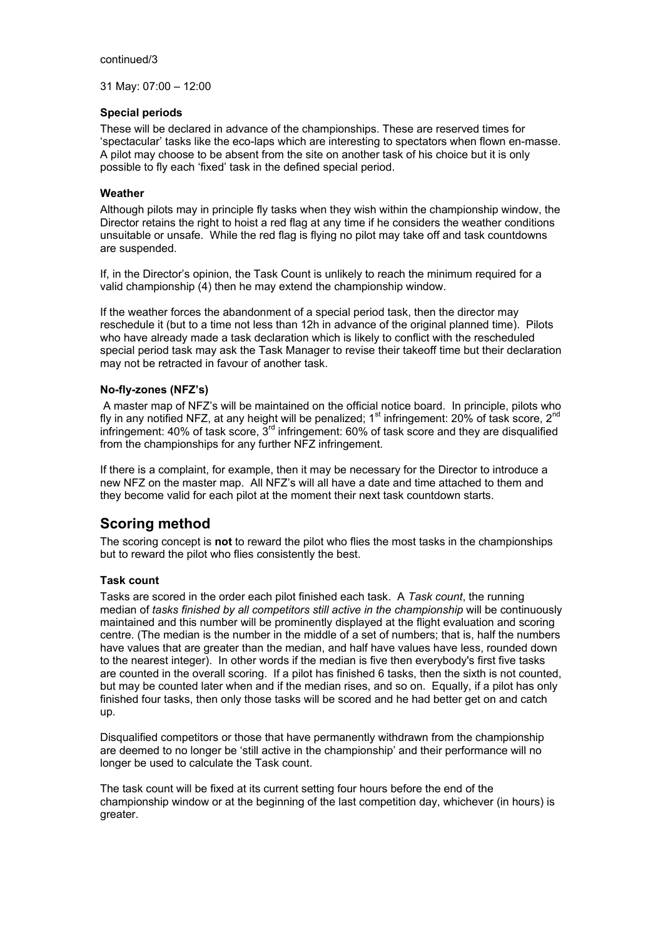#### continued/3

31 May: 07:00 – 12:00

# **Special periods**

These will be declared in advance of the championships. These are reserved times for 'spectacular' tasks like the eco-laps which are interesting to spectators when flown en-masse. A pilot may choose to be absent from the site on another task of his choice but it is only possible to fly each 'fixed' task in the defined special period.

# **Weather**

Although pilots may in principle fly tasks when they wish within the championship window, the Director retains the right to hoist a red flag at any time if he considers the weather conditions unsuitable or unsafe. While the red flag is flying no pilot may take off and task countdowns are suspended.

If, in the Director's opinion, the Task Count is unlikely to reach the minimum required for a valid championship (4) then he may extend the championship window.

If the weather forces the abandonment of a special period task, then the director may reschedule it (but to a time not less than 12h in advance of the original planned time). Pilots who have already made a task declaration which is likely to conflict with the rescheduled special period task may ask the Task Manager to revise their takeoff time but their declaration may not be retracted in favour of another task.

# **No-fly-zones (NFZ's)**

 A master map of NFZ's will be maintained on the official notice board. In principle, pilots who fly in any notified NFZ, at any height will be penalized;  $1<sup>st</sup>$  infringement: 20% of task score, 2<sup>nd</sup> infringement:  $40\%$  of task score,  $3^{rd}$  infringement:  $60\%$  of task score and they are disqualified from the championships for any further NFZ infringement.

If there is a complaint, for example, then it may be necessary for the Director to introduce a new NFZ on the master map. All NFZ's will all have a date and time attached to them and they become valid for each pilot at the moment their next task countdown starts.

# **Scoring method**

The scoring concept is **not** to reward the pilot who flies the most tasks in the championships but to reward the pilot who flies consistently the best.

# **Task count**

Tasks are scored in the order each pilot finished each task. A *Task count*, the running median of *tasks finished by all competitors still active in the championship* will be continuously maintained and this number will be prominently displayed at the flight evaluation and scoring centre. (The median is the number in the middle of a set of numbers; that is, half the numbers have values that are greater than the median, and half have values have less, rounded down to the nearest integer). In other words if the median is five then everybody's first five tasks are counted in the overall scoring. If a pilot has finished 6 tasks, then the sixth is not counted, but may be counted later when and if the median rises, and so on. Equally, if a pilot has only finished four tasks, then only those tasks will be scored and he had better get on and catch up.

Disqualified competitors or those that have permanently withdrawn from the championship are deemed to no longer be 'still active in the championship' and their performance will no longer be used to calculate the Task count.

The task count will be fixed at its current setting four hours before the end of the championship window or at the beginning of the last competition day, whichever (in hours) is greater.